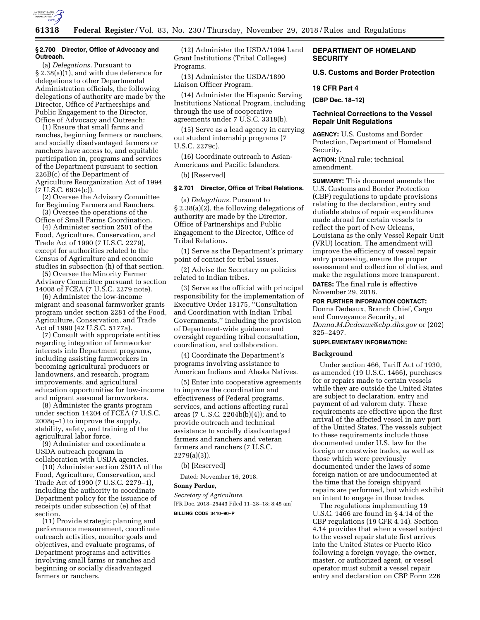

## **§ 2.700 Director, Office of Advocacy and Outreach.**

(a) *Delegations.* Pursuant to § 2.38(a)(1), and with due deference for delegations to other Departmental Administration officials, the following delegations of authority are made by the Director, Office of Partnerships and Public Engagement to the Director, Office of Advocacy and Outreach:

(1) Ensure that small farms and ranches, beginning farmers or ranchers, and socially disadvantaged farmers or ranchers have access to, and equitable participation in, programs and services of the Department pursuant to section 226B(c) of the Department of Agriculture Reorganization Act of 1994 (7 U.S.C. 6934(c)).

(2) Oversee the Advisory Committee for Beginning Farmers and Ranchers.

(3) Oversee the operations of the Office of Small Farms Coordination.

(4) Administer section 2501 of the Food, Agriculture, Conservation, and Trade Act of 1990 (7 U.S.C. 2279), except for authorities related to the Census of Agriculture and economic studies in subsection (h) of that section.

(5) Oversee the Minority Farmer Advisory Committee pursuant to section 14008 of FCEA (7 U.S.C. 2279 note).

(6) Administer the low-income migrant and seasonal farmworker grants program under section 2281 of the Food, Agriculture, Conservation, and Trade Act of 1990 (42 U.S.C. 5177a).

(7) Consult with appropriate entities regarding integration of farmworker interests into Department programs, including assisting farmworkers in becoming agricultural producers or landowners, and research, program improvements, and agricultural education opportunities for low-income and migrant seasonal farmworkers.

(8) Administer the grants program under section 14204 of FCEA (7 U.S.C. 2008q–1) to improve the supply, stability, safety, and training of the agricultural labor force.

(9) Administer and coordinate a USDA outreach program in collaboration with USDA agencies.

(10) Administer section 2501A of the Food, Agriculture, Conservation, and Trade Act of 1990 (7 U.S.C. 2279–1), including the authority to coordinate Department policy for the issuance of receipts under subsection (e) of that section.

(11) Provide strategic planning and performance measurement, coordinate outreach activities, monitor goals and objectives, and evaluate programs, of Department programs and activities involving small farms or ranches and beginning or socially disadvantaged farmers or ranchers.

(12) Administer the USDA/1994 Land Grant Institutions (Tribal Colleges) Programs.

(13) Administer the USDA/1890 Liaison Officer Program.

(14) Administer the Hispanic Serving Institutions National Program, including through the use of cooperative agreements under 7 U.S.C. 3318(b).

(15) Serve as a lead agency in carrying out student internship programs (7 U.S.C. 2279c).

(16) Coordinate outreach to Asian-Americans and Pacific Islanders.

(b) [Reserved]

# **§ 2.701 Director, Office of Tribal Relations.**

(a) *Delegations.* Pursuant to § 2.38(a)(2), the following delegations of authority are made by the Director, Office of Partnerships and Public Engagement to the Director, Office of Tribal Relations.

(1) Serve as the Department's primary point of contact for tribal issues.

(2) Advise the Secretary on policies related to Indian tribes.

(3) Serve as the official with principal responsibility for the implementation of Executive Order 13175, ''Consultation and Coordination with Indian Tribal Governments,'' including the provision of Department-wide guidance and oversight regarding tribal consultation, coordination, and collaboration.

(4) Coordinate the Department's programs involving assistance to American Indians and Alaska Natives.

(5) Enter into cooperative agreements to improve the coordination and effectiveness of Federal programs, services, and actions affecting rural areas (7 U.S.C. 2204b(b)(4)); and to provide outreach and technical assistance to socially disadvantaged farmers and ranchers and veteran farmers and ranchers (7 U.S.C. 2279(a)(3)).

(b) [Reserved]

Dated: November 16, 2018.

## **Sonny Perdue,**

*Secretary of Agriculture.* 

[FR Doc. 2018–25443 Filed 11–28–18; 8:45 am] **BILLING CODE 3410–90–P** 

# **DEPARTMENT OF HOMELAND SECURITY**

**U.S. Customs and Border Protection** 

#### **19 CFR Part 4**

**[CBP Dec. 18–12]** 

## **Technical Corrections to the Vessel Repair Unit Regulations**

**AGENCY:** U.S. Customs and Border Protection, Department of Homeland Security.

**ACTION:** Final rule; technical amendment.

**SUMMARY:** This document amends the U.S. Customs and Border Protection (CBP) regulations to update provisions relating to the declaration, entry and dutiable status of repair expenditures made abroad for certain vessels to reflect the port of New Orleans, Louisiana as the only Vessel Repair Unit (VRU) location. The amendment will improve the efficiency of vessel repair entry processing, ensure the proper assessment and collection of duties, and make the regulations more transparent. **DATES:** The final rule is effective November 29, 2018.

#### **FOR FURTHER INFORMATION CONTACT:**

Donna Dedeaux, Branch Chief, Cargo and Conveyance Security, at *[Donna.M.Dedeaux@cbp.dhs.gov](mailto:Donna.M.Dedeaux@cbp.dhs.gov)* or (202) 325–2497.

## **SUPPLEMENTARY INFORMATION:**

### **Background**

Under section 466, Tariff Act of 1930, as amended (19 U.S.C. 1466), purchases for or repairs made to certain vessels while they are outside the United States are subject to declaration, entry and payment of ad valorem duty. These requirements are effective upon the first arrival of the affected vessel in any port of the United States. The vessels subject to these requirements include those documented under U.S. law for the foreign or coastwise trades, as well as those which were previously documented under the laws of some foreign nation or are undocumented at the time that the foreign shipyard repairs are performed, but which exhibit an intent to engage in those trades.

The regulations implementing 19 U.S.C. 1466 are found in § 4.14 of the CBP regulations (19 CFR 4.14). Section 4.14 provides that when a vessel subject to the vessel repair statute first arrives into the United States or Puerto Rico following a foreign voyage, the owner, master, or authorized agent, or vessel operator must submit a vessel repair entry and declaration on CBP Form 226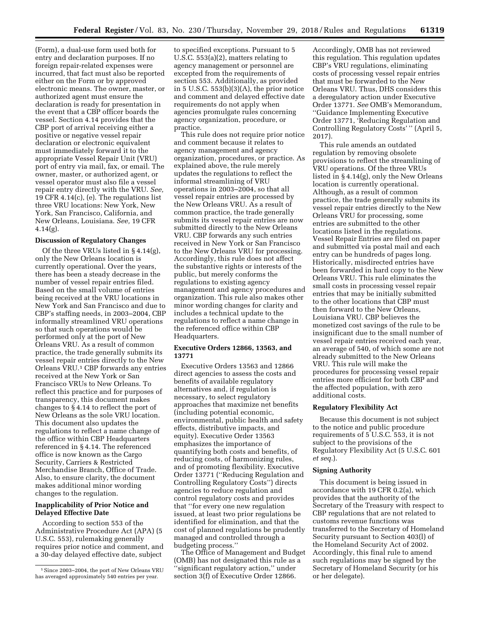(Form), a dual-use form used both for entry and declaration purposes. If no foreign repair-related expenses were incurred, that fact must also be reported either on the Form or by approved electronic means. The owner, master, or authorized agent must ensure the declaration is ready for presentation in the event that a CBP officer boards the vessel. Section 4.14 provides that the CBP port of arrival receiving either a positive or negative vessel repair declaration or electronic equivalent must immediately forward it to the appropriate Vessel Repair Unit (VRU) port of entry via mail, fax, or email. The owner, master, or authorized agent, or vessel operator must also file a vessel repair entry directly with the VRU. *See,*  19 CFR 4.14(c), (e). The regulations list three VRU locations: New York, New York, San Francisco, California, and New Orleans, Louisiana. *See,* 19 CFR  $4.14(g)$ .

### **Discussion of Regulatory Changes**

Of the three VRUs listed in § 4.14(g), only the New Orleans location is currently operational. Over the years, there has been a steady decrease in the number of vessel repair entries filed. Based on the small volume of entries being received at the VRU locations in New York and San Francisco and due to CBP's staffing needs, in 2003–2004, CBP informally streamlined VRU operations so that such operations would be performed only at the port of New Orleans VRU. As a result of common practice, the trade generally submits its vessel repair entries directly to the New Orleans VRU.<sup>1</sup> CBP forwards any entries received at the New York or San Francisco VRUs to New Orleans. To reflect this practice and for purposes of transparency, this document makes changes to § 4.14 to reflect the port of New Orleans as the sole VRU location. This document also updates the regulations to reflect a name change of the office within CBP Headquarters referenced in § 4.14. The referenced office is now known as the Cargo Security, Carriers & Restricted Merchandise Branch, Office of Trade. Also, to ensure clarity, the document makes additional minor wording changes to the regulation.

# **Inapplicability of Prior Notice and Delayed Effective Date**

According to section 553 of the Administrative Procedure Act (APA) (5 U.S.C. 553), rulemaking generally requires prior notice and comment, and a 30-day delayed effective date, subject

to specified exceptions. Pursuant to 5 U.S.C. 553(a)(2), matters relating to agency management or personnel are excepted from the requirements of section 553. Additionally, as provided in 5 U.S.C. 553(b)(3)(A), the prior notice and comment and delayed effective date requirements do not apply when agencies promulgate rules concerning agency organization, procedure, or practice.

This rule does not require prior notice and comment because it relates to agency management and agency organization, procedures, or practice. As explained above, the rule merely updates the regulations to reflect the informal streamlining of VRU operations in 2003–2004, so that all vessel repair entries are processed by the New Orleans VRU. As a result of common practice, the trade generally submits its vessel repair entries are now submitted directly to the New Orleans VRU. CBP forwards any such entries received in New York or San Francisco to the New Orleans VRU for processing. Accordingly, this rule does not affect the substantive rights or interests of the public, but merely conforms the regulations to existing agency management and agency procedures and organization. This rule also makes other minor wording changes for clarity and includes a technical update to the regulations to reflect a name change in the referenced office within CBP Headquarters.

# **Executive Orders 12866, 13563, and 13771**

Executive Orders 13563 and 12866 direct agencies to assess the costs and benefits of available regulatory alternatives and, if regulation is necessary, to select regulatory approaches that maximize net benefits (including potential economic, environmental, public health and safety effects, distributive impacts, and equity). Executive Order 13563 emphasizes the importance of quantifying both costs and benefits, of reducing costs, of harmonizing rules, and of promoting flexibility. Executive Order 13771 (''Reducing Regulation and Controlling Regulatory Costs'') directs agencies to reduce regulation and control regulatory costs and provides that ''for every one new regulation issued, at least two prior regulations be identified for elimination, and that the cost of planned regulations be prudently managed and controlled through a budgeting process.''

The Office of Management and Budget (OMB) has not designated this rule as a ''significant regulatory action,'' under section 3(f) of Executive Order 12866.

Accordingly, OMB has not reviewed this regulation. This regulation updates CBP's VRU regulations, eliminating costs of processing vessel repair entries that must be forwarded to the New Orleans VRU. Thus, DHS considers this a deregulatory action under Executive Order 13771. *See* OMB's Memorandum, ''Guidance Implementing Executive Order 13771, 'Reducing Regulation and Controlling Regulatory Costs' '' (April 5, 2017).

This rule amends an outdated regulation by removing obsolete provisions to reflect the streamlining of VRU operations. Of the three VRUs listed in § 4.14(g), only the New Orleans location is currently operational. Although, as a result of common practice, the trade generally submits its vessel repair entries directly to the New Orleans VRU for processing, some entries are submitted to the other locations listed in the regulations. Vessel Repair Entries are filed on paper and submitted via postal mail and each entry can be hundreds of pages long. Historically, misdirected entries have been forwarded in hard copy to the New Orleans VRU. This rule eliminates the small costs in processing vessel repair entries that may be initially submitted to the other locations that CBP must then forward to the New Orleans, Louisiana VRU. CBP believes the monetized cost savings of the rule to be insignificant due to the small number of vessel repair entries received each year, an average of 540, of which some are not already submitted to the New Orleans VRU. This rule will make the procedures for processing vessel repair entries more efficient for both CBP and the affected population, with zero additional costs.

### **Regulatory Flexibility Act**

Because this document is not subject to the notice and public procedure requirements of 5 U.S.C. 553, it is not subject to the provisions of the Regulatory Flexibility Act (5 U.S.C. 601 *et seq.*).

#### **Signing Authority**

This document is being issued in accordance with 19 CFR 0.2(a), which provides that the authority of the Secretary of the Treasury with respect to CBP regulations that are not related to customs revenue functions was transferred to the Secretary of Homeland Security pursuant to Section 403(l) of the Homeland Security Act of 2002. Accordingly, this final rule to amend such regulations may be signed by the Secretary of Homeland Security (or his or her delegate).

<sup>1</sup>Since 2003–2004, the port of New Orleans VRU has averaged approximately 540 entries per year.